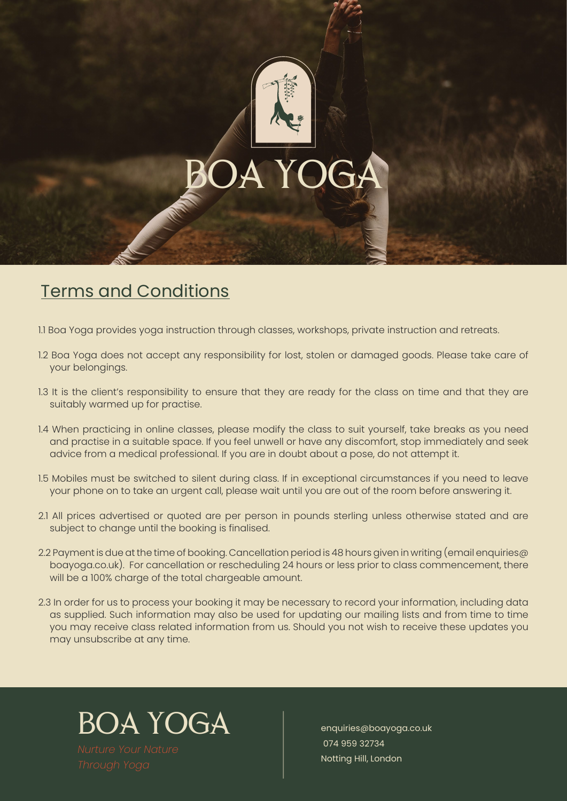

## Terms and Conditions

1.1 Boa Yoga provides yoga instruction through classes, workshops, private instruction and retreats.

- 1.2 Boa Yoga does not accept any responsibility for lost, stolen or damaged goods. Please take care of your belongings.
- 1.3 It is the client's responsibility to ensure that they are ready for the class on time and that they are suitably warmed up for practise.
- 1.4 When practicing in online classes, please modify the class to suit yourself, take breaks as you need and practise in a suitable space. If you feel unwell or have any discomfort, stop immediately and seek advice from a medical professional. If you are in doubt about a pose, do not attempt it.
- 1.5 Mobiles must be switched to silent during class. If in exceptional circumstances if you need to leave your phone on to take an urgent call, please wait until you are out of the room before answering it.
- 2.1 All prices advertised or quoted are per person in pounds sterling unless otherwise stated and are subject to change until the booking is finalised.
- 2.2 Payment is due at the time of booking. Cancellation period is 48 hours given in writing (email enquiries  $\varpi$ boayoga.co.uk). For cancellation or rescheduling 24 hours or less prior to class commencement, there will be a 100% charge of the total chargeable amount.
- 2.3 In order for us to process your booking it may be necessary to record your information, including data as supplied. Such information may also be used for updating our mailing lists and from time to time you may receive class related information from us. Should you not wish to receive these updates you may unsubscribe at any time.

BOA YOGA

enquiries@boayoga.co.uk 074 959 32734 Notting Hill, London